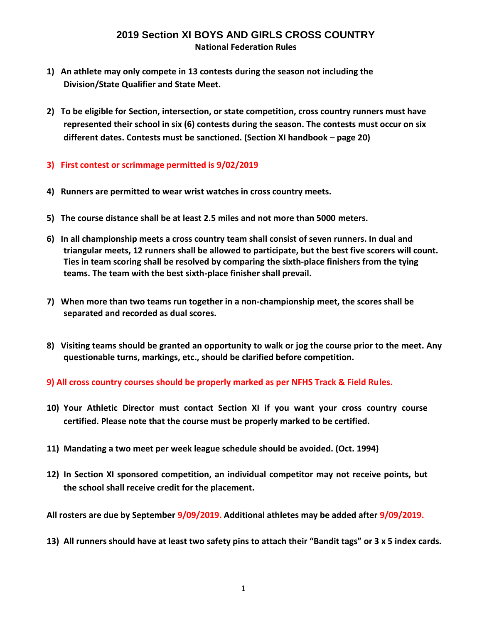#### **2019 Section XI BOYS AND GIRLS CROSS COUNTRY National Federation Rules**

- **1) An athlete may only compete in 13 contests during the season not including the Division/State Qualifier and State Meet.**
- **2) To be eligible for Section, intersection, or state competition, cross country runners must have represented their school in six (6) contests during the season. The contests must occur on six different dates. Contests must be sanctioned. (Section XI handbook – page 20)**
- **3) First contest or scrimmage permitted is 9/02/2019**
- **4) Runners are permitted to wear wrist watches in cross country meets.**
- **5) The course distance shall be at least 2.5 miles and not more than 5000 meters.**
- **6) In all championship meets a cross country team shall consist of seven runners. In dual and triangular meets, 12 runners shall be allowed to participate, but the best five scorers will count. Ties in team scoring shall be resolved by comparing the sixth-place finishers from the tying teams. The team with the best sixth-place finisher shall prevail.**
- **7) When more than two teams run together in a non-championship meet, the scores shall be separated and recorded as dual scores.**
- **8) Visiting teams should be granted an opportunity to walk or jog the course prior to the meet. Any questionable turns, markings, etc., should be clarified before competition.**

#### **9) All cross country courses should be properly marked as per NFHS Track & Field Rules.**

- **10) Your Athletic Director must contact Section XI if you want your cross country course certified. Please note that the course must be properly marked to be certified.**
- **11) Mandating a two meet per week league schedule should be avoided. (Oct. 1994)**
- **12) In Section XI sponsored competition, an individual competitor may not receive points, but the school shall receive credit for the placement.**
- **All rosters are due by September 9/09/2019. Additional athletes may be added after 9/09/2019.**
- **13) All runners should have at least two safety pins to attach their "Bandit tags" or 3 x 5 index cards.**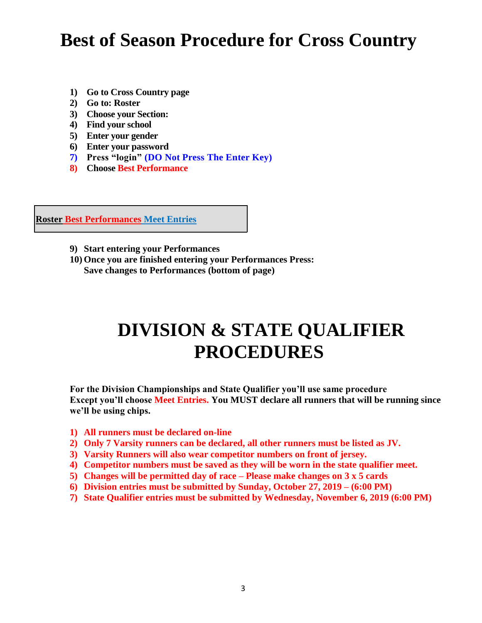# **Best of Season Procedure for Cross Country**

- **1) Go to Cross Country page**
- **2) Go to: Roster**
- **3) Choose your Section:**
- **4) Find your school**
- **5) Enter your gender**
- **6) Enter your password**
- **7) Press "login" (DO Not Press The Enter Key)**
- **8) Choose Best Performance**

**Roster Best Performances Meet Entries**

- **9) Start entering your Performances**
- **10) Once you are finished entering your Performances Press: Save changes to Performances (bottom of page)**

# **DIVISION & STATE QUALIFIER PROCEDURES**

**For the Division Championships and State Qualifier you'll use same procedure Except you'll choose Meet Entries. You MUST declare all runners that will be running since we'll be using chips.**

- **1) All runners must be declared on-line**
- **2) Only 7 Varsity runners can be declared, all other runners must be listed as JV.**
- **3) Varsity Runners will also wear competitor numbers on front of jersey.**
- **4) Competitor numbers must be saved as they will be worn in the state qualifier meet.**
- **5) Changes will be permitted day of race – Please make changes on 3 x 5 cards**
- **6) Division entries must be submitted by Sunday, October 27, 2019 – (6:00 PM)**
- **7) State Qualifier entries must be submitted by Wednesday, November 6, 2019 (6:00 PM)**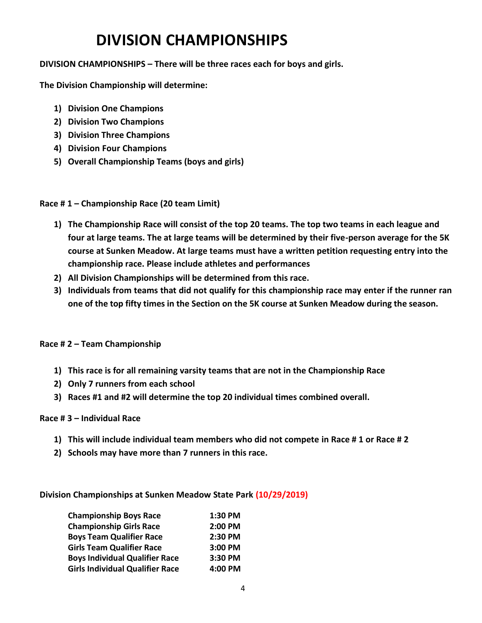## **DIVISION CHAMPIONSHIPS**

**DIVISION CHAMPIONSHIPS – There will be three races each for boys and girls.** 

**The Division Championship will determine:**

- **1) Division One Champions**
- **2) Division Two Champions**
- **3) Division Three Champions**
- **4) Division Four Champions**
- **5) Overall Championship Teams (boys and girls)**

**Race # 1 – Championship Race (20 team Limit)**

- **1) The Championship Race will consist of the top 20 teams. The top two teams in each league and four at large teams. The at large teams will be determined by their five-person average for the 5K course at Sunken Meadow. At large teams must have a written petition requesting entry into the championship race. Please include athletes and performances**
- **2) All Division Championships will be determined from this race.**
- **3) Individuals from teams that did not qualify for this championship race may enter if the runner ran one of the top fifty times in the Section on the 5K course at Sunken Meadow during the season.**

#### **Race # 2 – Team Championship**

- **1) This race is for all remaining varsity teams that are not in the Championship Race**
- **2) Only 7 runners from each school**
- **3) Races #1 and #2 will determine the top 20 individual times combined overall.**

#### **Race # 3 – Individual Race**

- **1) This will include individual team members who did not compete in Race # 1 or Race # 2**
- **2) Schools may have more than 7 runners in this race.**

**Division Championships at Sunken Meadow State Park (10/29/2019)**

| <b>Championship Boys Race</b>          | 1:30 PM |
|----------------------------------------|---------|
| <b>Championship Girls Race</b>         | 2:00 PM |
| <b>Boys Team Qualifier Race</b>        | 2:30 PM |
| <b>Girls Team Qualifier Race</b>       | 3:00 PM |
| <b>Boys Individual Qualifier Race</b>  | 3:30 PM |
| <b>Girls Individual Qualifier Race</b> | 4:00 PM |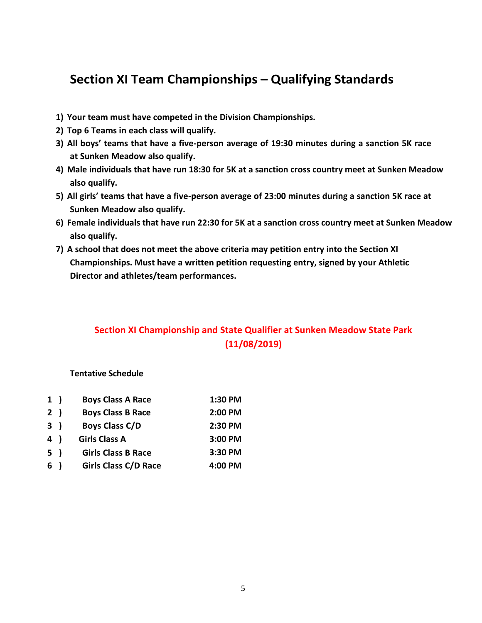### **Section XI Team Championships – Qualifying Standards**

- **1) Your team must have competed in the Division Championships.**
- **2) Top 6 Teams in each class will qualify.**
- **3) All boys' teams that have a five-person average of 19:30 minutes during a sanction 5K race at Sunken Meadow also qualify.**
- **4) Male individuals that have run 18:30 for 5K at a sanction cross country meet at Sunken Meadow also qualify.**
- **5) All girls' teams that have a five-person average of 23:00 minutes during a sanction 5K race at Sunken Meadow also qualify.**
- **6) Female individuals that have run 22:30 for 5K at a sanction cross country meet at Sunken Meadow also qualify.**
- **7) A school that does not meet the above criteria may petition entry into the Section XI Championships. Must have a written petition requesting entry, signed by your Athletic Director and athletes/team performances.**

### **Section XI Championship and State Qualifier at Sunken Meadow State Park (11/08/2019)**

#### **Tentative Schedule**

| 1) | <b>Boys Class A Race</b>    | 1:30 PM |
|----|-----------------------------|---------|
| 2) | <b>Boys Class B Race</b>    | 2:00 PM |
| 3) | <b>Boys Class C/D</b>       | 2:30 PM |
| 4) | <b>Girls Class A</b>        | 3:00 PM |
| 5) | <b>Girls Class B Race</b>   | 3:30 PM |
| 6) | <b>Girls Class C/D Race</b> | 4:00 PM |
|    |                             |         |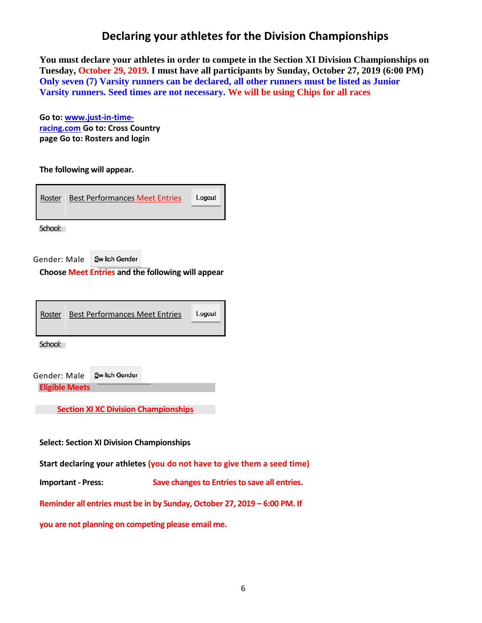### **Declaring your athletes for the Division Championships**

**You must declare your athletes in order to compete in the Section XI Division Championships on Tuesday, October 29, 2019. I must have all participants by Sunday, October 27, 2019 (6:00 PM) Only seven (7) Varsity runners can be declared, all other runners must be listed as Junior Varsity runners. Seed times are not necessary. We will be using Chips for all races**

**Go to: [www.just-in-time](http://www.just-in-time-racing.com/)[racing.com](http://www.just-in-time-racing.com/) Go to: Cross Country page Go to: Rosters and login**

**The following will appear.**

|  | Roster | <b>Best Performances Meet Entries</b> | Logout |
|--|--------|---------------------------------------|--------|
|--|--------|---------------------------------------|--------|

School:

Gender: Male Switch Gender

**Choose Meet Entries and the following will appear**

| Roster                      | <b>Best Performances Meet Entries</b> | Logout |
|-----------------------------|---------------------------------------|--------|
| $\sim$ $\sim$ $\sim$ $\sim$ |                                       |        |

School:

| Gender: Male          | Switch Gender |
|-----------------------|---------------|
| <b>Eligible Meets</b> |               |

**Section XI XC Division Championships**

**Select: Section XI Division Championships**

**Start declaring your athletes (you do not have to give them a seed time)**

**Important - Press: Save changes to Entries to save all entries.**

**Reminder all entries must be in by Sunday, October 27, 2019 – 6:00 PM. If** 

**you are not planning on competing please email me.**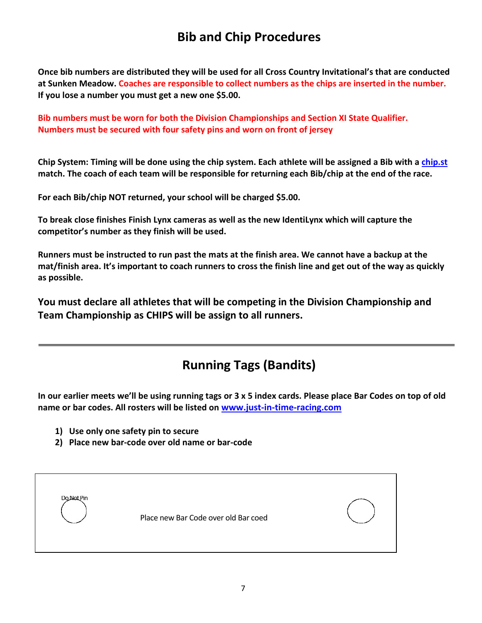## **Bib and Chip Procedures**

**Once bib numbers are distributed they will be used for all Cross Country Invitational's that are conducted at Sunken Meadow. Coaches are responsible to collect numbers as the chips are inserted in the number. If you lose a number you must get a new one \$5.00.**

**Bib numbers must be worn for both the Division Championships and Section XI State Qualifier. Numbers must be secured with four safety pins and worn on front of jersey**

**Chip System: Timing will be done using the chip system. Each athlete will be assigned a Bib with a [chip.st](http://chip.st/) match. The coach of each team will be responsible for returning each Bib/chip at the end of the race.**

**For each Bib/chip NOT returned, your school will be charged \$5.00.**

**To break close finishes Finish Lynx cameras as well as the new IdentiLynx which will capture the competitor's number as they finish will be used.**

**Runners must be instructed to run past the mats at the finish area. We cannot have a backup at the mat/finish area. It's important to coach runners to cross the finish line and get out of the way as quickly as possible.**

**You must declare all athletes that will be competing in the Division Championship and Team Championship as CHIPS will be assign to all runners.**

## **Running Tags (Bandits)**

**In our earlier meets we'll be using running tags or 3 x 5 index cards. Please place Bar Codes on top of old name or bar codes. All rosters will be listed on [www.just-in-time-racing.com](http://www.just-in-time-racing.com/)**

- **1) Use only one safety pin to secure**
- **2) Place new bar-code over old name or bar-code**

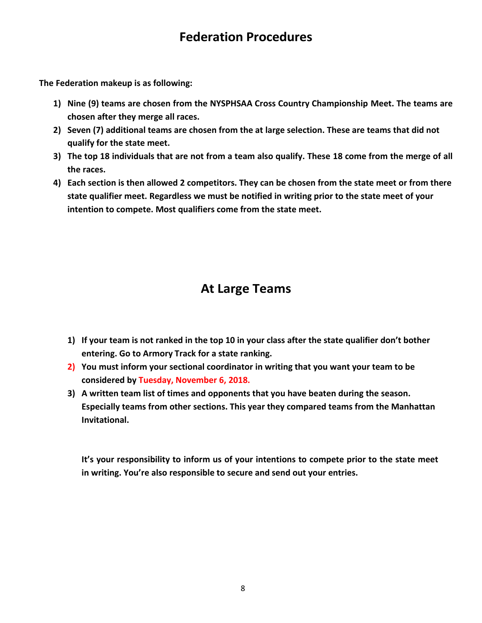## **Federation Procedures**

**The Federation makeup is as following:**

- **1) Nine (9) teams are chosen from the NYSPHSAA Cross Country Championship Meet. The teams are chosen after they merge all races.**
- **2) Seven (7) additional teams are chosen from the at large selection. These are teams that did not qualify for the state meet.**
- **3) The top 18 individuals that are not from a team also qualify. These 18 come from the merge of all the races.**
- **4) Each section is then allowed 2 competitors. They can be chosen from the state meet or from there state qualifier meet. Regardless we must be notified in writing prior to the state meet of your intention to compete. Most qualifiers come from the state meet.**

## **At Large Teams**

- **1) If your team is not ranked in the top 10 in your class after the state qualifier don't bother entering. Go to Armory Track for a state ranking.**
- **2) You must inform your sectional coordinator in writing that you want your team to be considered by Tuesday, November 6, 2018.**
- **3) A written team list of times and opponents that you have beaten during the season. Especially teams from other sections. This year they compared teams from the Manhattan Invitational.**

**It's your responsibility to inform us of your intentions to compete prior to the state meet in writing. You're also responsible to secure and send out your entries.**